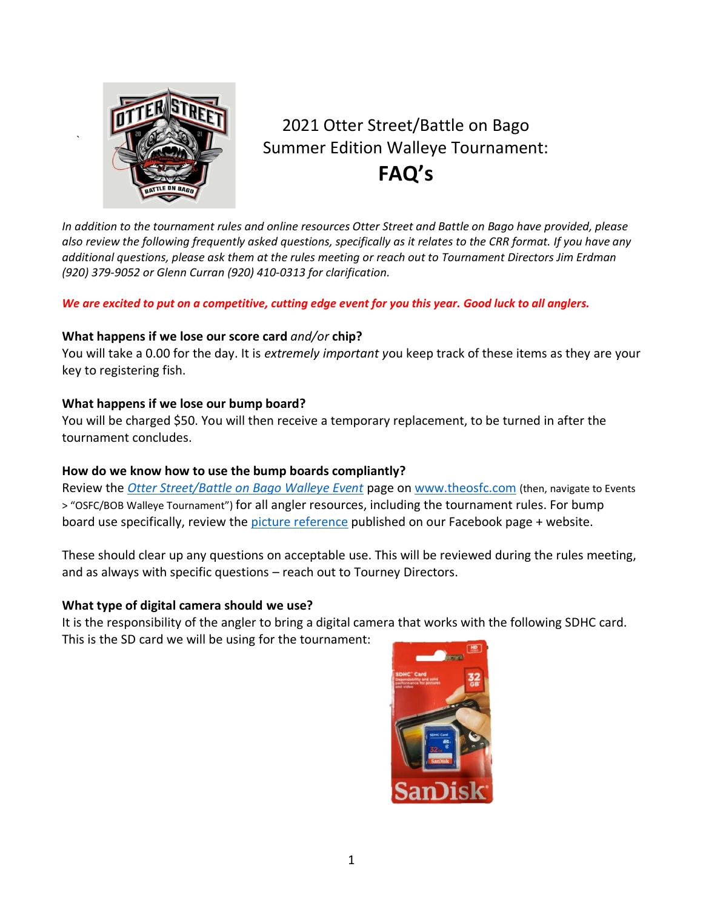

*`*

# 2021 Otter Street/Battle on Bago Summer Edition Walleye Tournament: **FAQ's**

*In addition to the tournament rules and online resources Otter Street and Battle on Bago have provided, please also review the following frequently asked questions, specifically as it relates to the CRR format. If you have any additional questions, please ask them at the rules meeting or reach out to Tournament Directors Jim Erdman (920) 379-9052 or Glenn Curran (920) 410-0313 for clarification.* 

# *We are excited to put on a competitive, cutting edge event for you this year. Good luck to all anglers.*

# **What happens if we lose our score card** *and/or* **chip?**

You will take a 0.00 for the day. It is *extremely important y*ou keep track of these items as they are your key to registering fish.

# **What happens if we lose our bump board?**

You will be charged \$50. You will then receive a temporary replacement, to be turned in after the tournament concludes.

# **How do we know how to use the bump boards compliantly?**

Review the *[Otter Street/Battle on Bago Walleye Event](https://wordpress.com/page/theosfc.com/49?site=theosfc.com)* page on [www.theosfc.com](http://www.theosfc.com/) (then, navigate to Events > "OSFC/BOB Walleye Tournament") for all angler resources, including the tournament rules. For bump board use specifically, review th[e picture reference](https://theosfc.com/wp-content/uploads/2021/05/CRR_fish-examples-aid_final.pdf) published on our Facebook page + website.

These should clear up any questions on acceptable use. This will be reviewed during the rules meeting, and as always with specific questions – reach out to Tourney Directors.

# **What type of digital camera should we use?**

It is the responsibility of the angler to bring a digital camera that works with the following SDHC card. This is the SD card we will be using for the tournament: